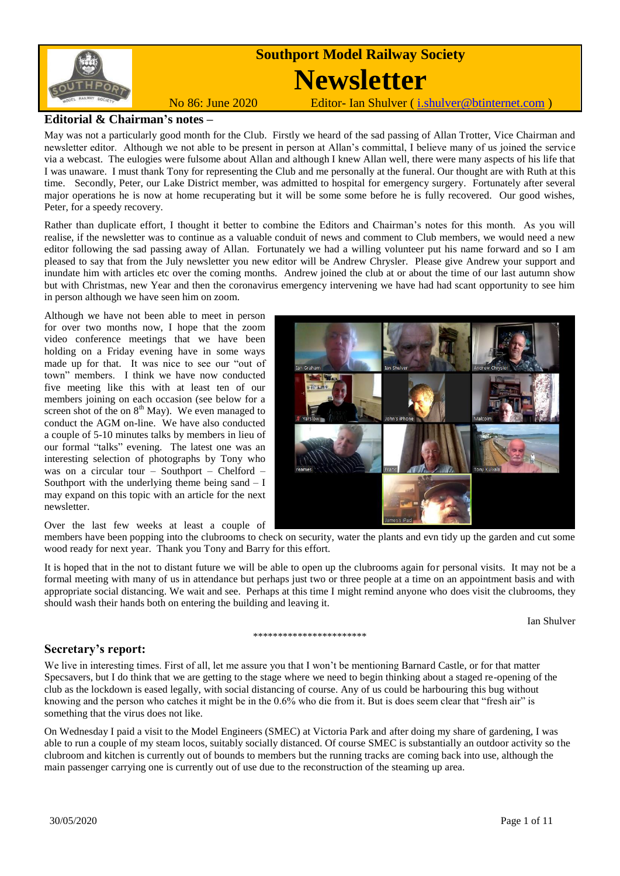

### **Editorial & Chairman's notes –**

May was not a particularly good month for the Club. Firstly we heard of the sad passing of Allan Trotter, Vice Chairman and newsletter editor. Although we not able to be present in person at Allan's committal, I believe many of us joined the service via a webcast. The eulogies were fulsome about Allan and although I knew Allan well, there were many aspects of his life that I was unaware. I must thank Tony for representing the Club and me personally at the funeral. Our thought are with Ruth at this time. Secondly, Peter, our Lake District member, was admitted to hospital for emergency surgery. Fortunately after several major operations he is now at home recuperating but it will be some some before he is fully recovered. Our good wishes, Peter, for a speedy recovery.

Rather than duplicate effort, I thought it better to combine the Editors and Chairman's notes for this month. As you will realise, if the newsletter was to continue as a valuable conduit of news and comment to Club members, we would need a new editor following the sad passing away of Allan. Fortunately we had a willing volunteer put his name forward and so I am pleased to say that from the July newsletter you new editor will be Andrew Chrysler. Please give Andrew your support and inundate him with articles etc over the coming months. Andrew joined the club at or about the time of our last autumn show but with Christmas, new Year and then the coronavirus emergency intervening we have had had scant opportunity to see him in person although we have seen him on zoom.

Although we have not been able to meet in person for over two months now, I hope that the zoom video conference meetings that we have been holding on a Friday evening have in some ways made up for that. It was nice to see our "out of town" members. I think we have now conducted five meeting like this with at least ten of our members joining on each occasion (see below for a screen shot of the on  $8<sup>th</sup>$  May). We even managed to conduct the AGM on-line. We have also conducted a couple of 5-10 minutes talks by members in lieu of our formal "talks" evening. The latest one was an interesting selection of photographs by Tony who was on a circular tour – Southport – Chelford – Southport with the underlying theme being sand  $-1$ may expand on this topic with an article for the next newsletter.



Over the last few weeks at least a couple of

members have been popping into the clubrooms to check on security, water the plants and evn tidy up the garden and cut some wood ready for next year. Thank you Tony and Barry for this effort.

It is hoped that in the not to distant future we will be able to open up the clubrooms again for personal visits. It may not be a formal meeting with many of us in attendance but perhaps just two or three people at a time on an appointment basis and with appropriate social distancing. We wait and see. Perhaps at this time I might remind anyone who does visit the clubrooms, they should wash their hands both on entering the building and leaving it.

\*\*\*\*\*\*\*\*\*\*\*\*\*\*\*\*\*\*\*\*\*

Ian Shulver

## **Secretary's report:**

We live in interesting times. First of all, let me assure you that I won't be mentioning Barnard Castle, or for that matter Specsavers, but I do think that we are getting to the stage where we need to begin thinking about a staged re-opening of the club as the lockdown is eased legally, with social distancing of course. Any of us could be harbouring this bug without knowing and the person who catches it might be in the 0.6% who die from it. But is does seem clear that "fresh air" is something that the virus does not like.

On Wednesday I paid a visit to the Model Engineers (SMEC) at Victoria Park and after doing my share of gardening, I was able to run a couple of my steam locos, suitably socially distanced. Of course SMEC is substantially an outdoor activity so the clubroom and kitchen is currently out of bounds to members but the running tracks are coming back into use, although the main passenger carrying one is currently out of use due to the reconstruction of the steaming up area.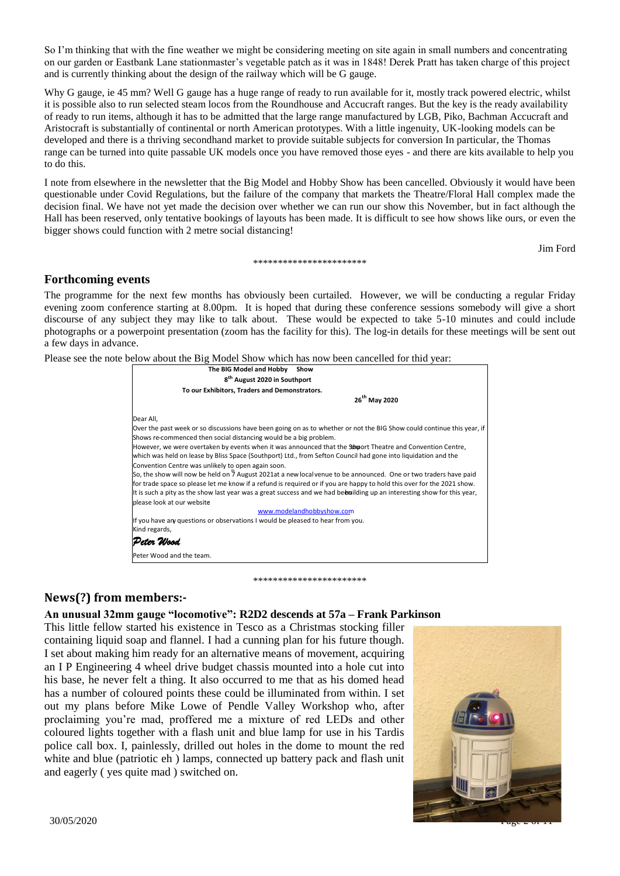So I'm thinking that with the fine weather we might be considering meeting on site again in small numbers and concentrating on our garden or Eastbank Lane stationmaster's vegetable patch as it was in 1848! Derek Pratt has taken charge of this project and is currently thinking about the design of the railway which will be G gauge.

Why G gauge, ie 45 mm? Well G gauge has a huge range of ready to run available for it, mostly track powered electric, whilst it is possible also to run selected steam locos from the Roundhouse and Accucraft ranges. But the key is the ready availability of ready to run items, although it has to be admitted that the large range manufactured by LGB, Piko, Bachman Accucraft and Aristocraft is substantially of continental or north American prototypes. With a little ingenuity, UK-looking models can be developed and there is a thriving secondhand market to provide suitable subjects for conversion In particular, the Thomas range can be turned into quite passable UK models once you have removed those eyes - and there are kits available to help you to do this.

I note from elsewhere in the newsletter that the Big Model and Hobby Show has been cancelled. Obviously it would have been questionable under Covid Regulations, but the failure of the company that markets the Theatre/Floral Hall complex made the decision final. We have not yet made the decision over whether we can run our show this November, but in fact although the Hall has been reserved, only tentative bookings of layouts has been made. It is difficult to see how shows like ours, or even the bigger shows could function with 2 metre social distancing!

\*\*\*\*\*\*\*\*\*\*\*\*\*\*\*\*\*\*\*\*\*\*\*

Jim Ford

## **Forthcoming events**

The programme for the next few months has obviously been curtailed. However, we will be conducting a regular Friday evening zoom conference starting at 8.00pm. It is hoped that during these conference sessions somebody will give a short discourse of any subject they may like to talk about. These would be expected to take 5-10 minutes and could include photographs or a powerpoint presentation (zoom has the facility for this). The log-in details for these meetings will be sent out a few days in advance.

Please see the note below about the Big Model Show which has now been cancelled for thid year:



\*\*\*\*\*\*\*\*\*\*\*\*\*\*\*\*\*\*\*\*\*\*\*

## **News(?) from members:-**

### **An unusual 32mm gauge "locomotive": R2D2 descends at 57a – Frank Parkinson**

This little fellow started his existence in Tesco as a Christmas stocking filler containing liquid soap and flannel. I had a cunning plan for his future though. I set about making him ready for an alternative means of movement, acquiring an I P Engineering 4 wheel drive budget chassis mounted into a hole cut into his base, he never felt a thing. It also occurred to me that as his domed head has a number of coloured points these could be illuminated from within. I set out my plans before Mike Lowe of Pendle Valley Workshop who, after proclaiming you're mad, proffered me a mixture of red LEDs and other coloured lights together with a flash unit and blue lamp for use in his Tardis police call box. I, painlessly, drilled out holes in the dome to mount the red white and blue (patriotic eh) lamps, connected up battery pack and flash unit and eagerly ( yes quite mad ) switched on.

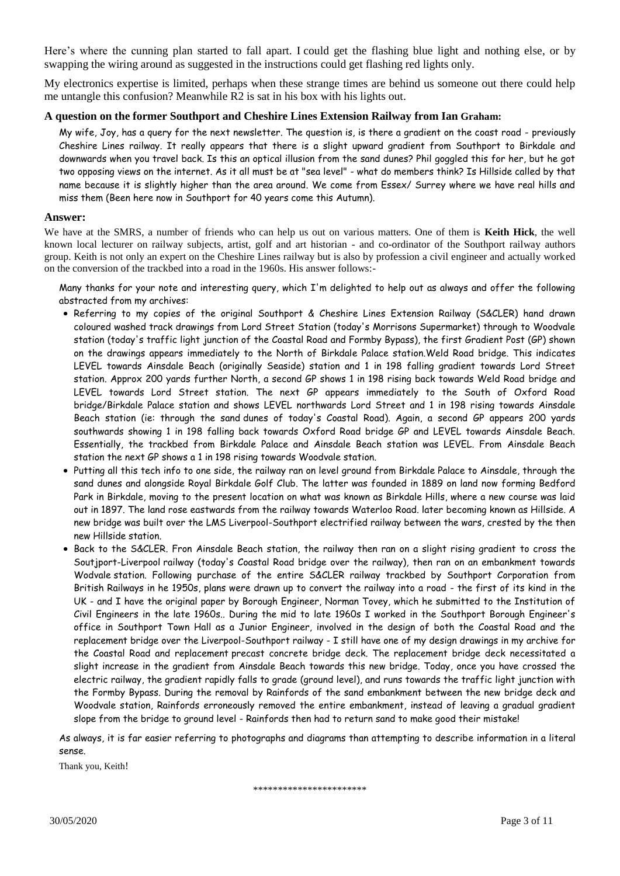Here's where the cunning plan started to fall apart. I could get the flashing blue light and nothing else, or by swapping the wiring around as suggested in the instructions could get flashing red lights only.

My electronics expertise is limited, perhaps when these strange times are behind us someone out there could help me untangle this confusion? Meanwhile R2 is sat in his box with his lights out.

#### **A question on the former Southport and Cheshire Lines Extension Railway from Ian Graham:**

My wife, Joy, has a query for the next newsletter. The question is, is there a gradient on the coast road - previously Cheshire Lines railway. It really appears that there is a slight upward gradient from Southport to Birkdale and downwards when you travel back. Is this an optical illusion from the sand dunes? Phil goggled this for her, but he got two opposing views on the internet. As it all must be at "sea level" - what do members think? Is Hillside called by that name because it is slightly higher than the area around. We come from Essex/ Surrey where we have real hills and miss them (Been here now in Southport for 40 years come this Autumn).

#### **Answer:**

We have at the SMRS, a number of friends who can help us out on various matters. One of them is **Keith Hick**, the well known local lecturer on railway subjects, artist, golf and art historian - and co-ordinator of the Southport railway authors group. Keith is not only an expert on the Cheshire Lines railway but is also by profession a civil engineer and actually worked on the conversion of the trackbed into a road in the 1960s. His answer follows:-

Many thanks for your note and interesting query, which I'm delighted to help out as always and offer the following abstracted from my archives:

- Referring to my copies of the original Southport & Cheshire Lines Extension Railway (S&CLER) hand drawn coloured washed track drawings from Lord Street Station (today's Morrisons Supermarket) through to Woodvale station (today's traffic light junction of the Coastal Road and Formby Bypass), the first Gradient Post (GP) shown on the drawings appears immediately to the North of Birkdale Palace station.Weld Road bridge. This indicates LEVEL towards Ainsdale Beach (originally Seaside) station and 1 in 198 falling gradient towards Lord Street station. Approx 200 yards further North, a second GP shows 1 in 198 rising back towards Weld Road bridge and LEVEL towards Lord Street station. The next GP appears immediately to the South of Oxford Road bridge/Birkdale Palace station and shows LEVEL northwards Lord Street and 1 in 198 rising towards Ainsdale Beach station (ie: through the sand dunes of today's Coastal Road). Again, a second GP appears 200 yards southwards showing 1 in 198 falling back towards Oxford Road bridge GP and LEVEL towards Ainsdale Beach. Essentially, the trackbed from Birkdale Palace and Ainsdale Beach station was LEVEL. From Ainsdale Beach station the next GP shows a 1 in 198 rising towards Woodvale station.
- Putting all this tech info to one side, the railway ran on level ground from Birkdale Palace to Ainsdale, through the sand dunes and alongside Royal Birkdale Golf Club. The latter was founded in 1889 on land now forming Bedford Park in Birkdale, moving to the present location on what was known as Birkdale Hills, where a new course was laid out in 1897. The land rose eastwards from the railway towards Waterloo Road. later becoming known as Hillside. A new bridge was built over the LMS Liverpool-Southport electrified railway between the wars, crested by the then new Hillside station.
- Back to the S&CLER. Fron Ainsdale Beach station, the railway then ran on a slight rising gradient to cross the Soutjport-Liverpool railway (today's Coastal Road bridge over the railway), then ran on an embankment towards Wodvale station. Following purchase of the entire S&CLER railway trackbed by Southport Corporation from British Railways in he 1950s, plans were drawn up to convert the railway into a road - the first of its kind in the UK - and I have the original paper by Borough Engineer, Norman Tovey, which he submitted to the Institution of Civil Engineers in the late 1960s.. During the mid to late 1960s I worked in the Southport Borough Engineer's office in Southport Town Hall as a Junior Engineer, involved in the design of both the Coastal Road and the replacement bridge over the Liverpool-Southport railway - I still have one of my design drawings in my archive for the Coastal Road and replacement precast concrete bridge deck. The replacement bridge deck necessitated a slight increase in the gradient from Ainsdale Beach towards this new bridge. Today, once you have crossed the electric railway, the gradient rapidly falls to grade (ground level), and runs towards the traffic light junction with the Formby Bypass. During the removal by Rainfords of the sand embankment between the new bridge deck and Woodvale station, Rainfords erroneously removed the entire embankment, instead of leaving a gradual gradient slope from the bridge to ground level - Rainfords then had to return sand to make good their mistake!

As always, it is far easier referring to photographs and diagrams than attempting to describe information in a literal sense.

Thank you, Keith!

\*\*\*\*\*\*\*\*\*\*\*\*\*\*\*\*\*\*\*\*\*\*\*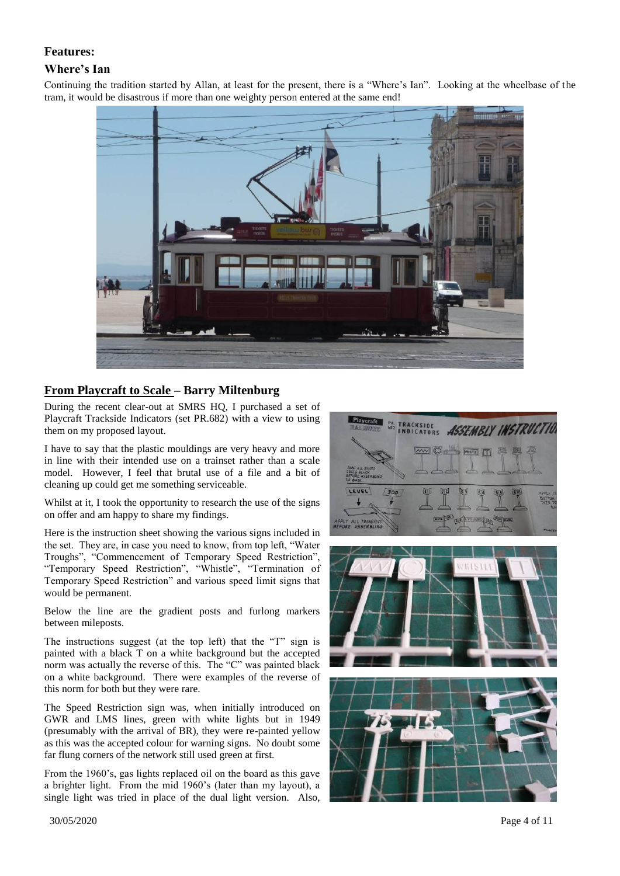## **Features:**

### **Where's Ian**

Continuing the tradition started by Allan, at least for the present, there is a "Where's Ian". Looking at the wheelbase of the tram, it would be disastrous if more than one weighty person entered at the same end!



# **From Playcraft to Scale – Barry Miltenburg**

During the recent clear-out at SMRS HQ, I purchased a set of Playcraft Trackside Indicators (set PR.682) with a view to using them on my proposed layout.

I have to say that the plastic mouldings are very heavy and more in line with their intended use on a trainset rather than a scale model. However, I feel that brutal use of a file and a bit of cleaning up could get me something serviceable.

Whilst at it, I took the opportunity to research the use of the signs on offer and am happy to share my findings.

Here is the instruction sheet showing the various signs included in the set. They are, in case you need to know, from top left, "Water Troughs", "Commencement of Temporary Speed Restriction", "Temporary Speed Restriction", "Whistle", "Termination of Temporary Speed Restriction" and various speed limit signs that would be permanent.

Below the line are the gradient posts and furlong markers between mileposts.

The instructions suggest (at the top left) that the "T" sign is painted with a black T on a white background but the accepted norm was actually the reverse of this. The "C" was painted black on a white background. There were examples of the reverse of this norm for both but they were rare.

The Speed Restriction sign was, when initially introduced on GWR and LMS lines, green with white lights but in 1949 (presumably with the arrival of BR), they were re-painted yellow as this was the accepted colour for warning signs. No doubt some far flung corners of the network still used green at first.

From the 1960's, gas lights replaced oil on the board as this gave a brighter light. From the mid 1960's (later than my layout), a single light was tried in place of the dual light version. Also,





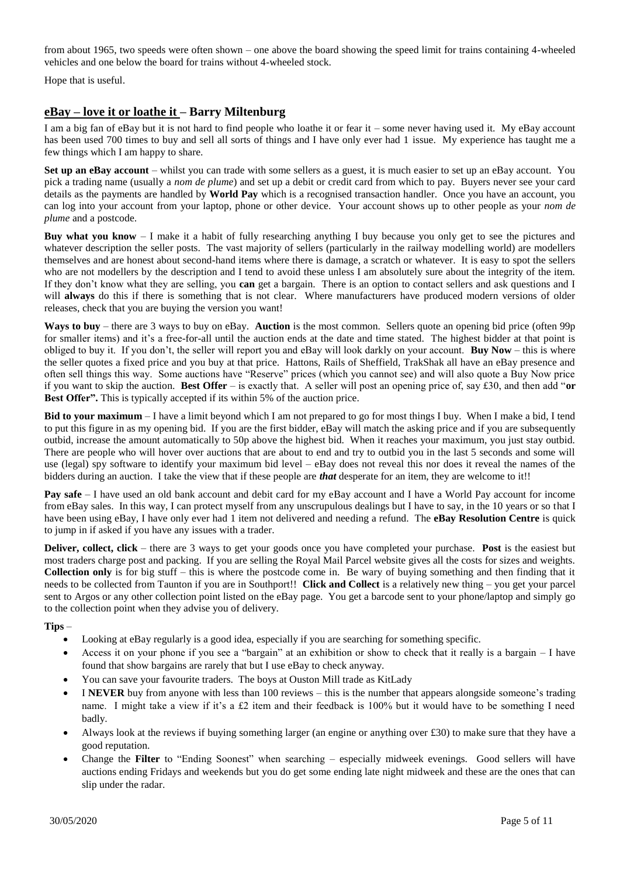from about 1965, two speeds were often shown – one above the board showing the speed limit for trains containing 4-wheeled vehicles and one below the board for trains without 4-wheeled stock.

Hope that is useful.

# **eBay – love it or loathe it – Barry Miltenburg**

I am a big fan of eBay but it is not hard to find people who loathe it or fear it – some never having used it. My eBay account has been used 700 times to buy and sell all sorts of things and I have only ever had 1 issue. My experience has taught me a few things which I am happy to share.

**Set up an eBay account** – whilst you can trade with some sellers as a guest, it is much easier to set up an eBay account. You pick a trading name (usually a *nom de plume*) and set up a debit or credit card from which to pay. Buyers never see your card details as the payments are handled by **World Pay** which is a recognised transaction handler. Once you have an account, you can log into your account from your laptop, phone or other device. Your account shows up to other people as your *nom de plume* and a postcode.

**Buy what you know** – I make it a habit of fully researching anything I buy because you only get to see the pictures and whatever description the seller posts. The vast majority of sellers (particularly in the railway modelling world) are modellers themselves and are honest about second-hand items where there is damage, a scratch or whatever. It is easy to spot the sellers who are not modellers by the description and I tend to avoid these unless I am absolutely sure about the integrity of the item. If they don't know what they are selling, you **can** get a bargain. There is an option to contact sellers and ask questions and I will **always** do this if there is something that is not clear. Where manufacturers have produced modern versions of older releases, check that you are buying the version you want!

**Ways to buy** – there are 3 ways to buy on eBay. **Auction** is the most common. Sellers quote an opening bid price (often 99p for smaller items) and it's a free-for-all until the auction ends at the date and time stated. The highest bidder at that point is obliged to buy it. If you don't, the seller will report you and eBay will look darkly on your account. **Buy Now** – this is where the seller quotes a fixed price and you buy at that price. Hattons, Rails of Sheffield, TrakShak all have an eBay presence and often sell things this way. Some auctions have "Reserve" prices (which you cannot see) and will also quote a Buy Now price if you want to skip the auction. **Best Offer** – is exactly that. A seller will post an opening price of, say £30, and then add "**or Best Offer".** This is typically accepted if its within 5% of the auction price.

**Bid to your maximum** – I have a limit beyond which I am not prepared to go for most things I buy. When I make a bid, I tend to put this figure in as my opening bid. If you are the first bidder, eBay will match the asking price and if you are subsequently outbid, increase the amount automatically to 50p above the highest bid. When it reaches your maximum, you just stay outbid. There are people who will hover over auctions that are about to end and try to outbid you in the last 5 seconds and some will use (legal) spy software to identify your maximum bid level – eBay does not reveal this nor does it reveal the names of the bidders during an auction. I take the view that if these people are *that* desperate for an item, they are welcome to it!!

**Pay safe** – I have used an old bank account and debit card for my eBay account and I have a World Pay account for income from eBay sales. In this way, I can protect myself from any unscrupulous dealings but I have to say, in the 10 years or so that I have been using eBay, I have only ever had 1 item not delivered and needing a refund. The **eBay Resolution Centre** is quick to jump in if asked if you have any issues with a trader.

**Deliver, collect, click** – there are 3 ways to get your goods once you have completed your purchase. **Post** is the easiest but most traders charge post and packing. If you are selling the Royal Mail Parcel website gives all the costs for sizes and weights. **Collection only** is for big stuff – this is where the postcode come in. Be wary of buying something and then finding that it needs to be collected from Taunton if you are in Southport!! **Click and Collect** is a relatively new thing – you get your parcel sent to Argos or any other collection point listed on the eBay page. You get a barcode sent to your phone/laptop and simply go to the collection point when they advise you of delivery.

#### **Tips** –

- Looking at eBay regularly is a good idea, especially if you are searching for something specific.
- Access it on your phone if you see a "bargain" at an exhibition or show to check that it really is a bargain I have found that show bargains are rarely that but I use eBay to check anyway.
- You can save your favourite traders. The boys at Ouston Mill trade as KitLady
- I **NEVER** buy from anyone with less than 100 reviews this is the number that appears alongside someone's trading name. I might take a view if it's a £2 item and their feedback is 100% but it would have to be something I need badly.
- Always look at the reviews if buying something larger (an engine or anything over £30) to make sure that they have a good reputation.
- Change the **Filter** to "Ending Soonest" when searching especially midweek evenings. Good sellers will have auctions ending Fridays and weekends but you do get some ending late night midweek and these are the ones that can slip under the radar.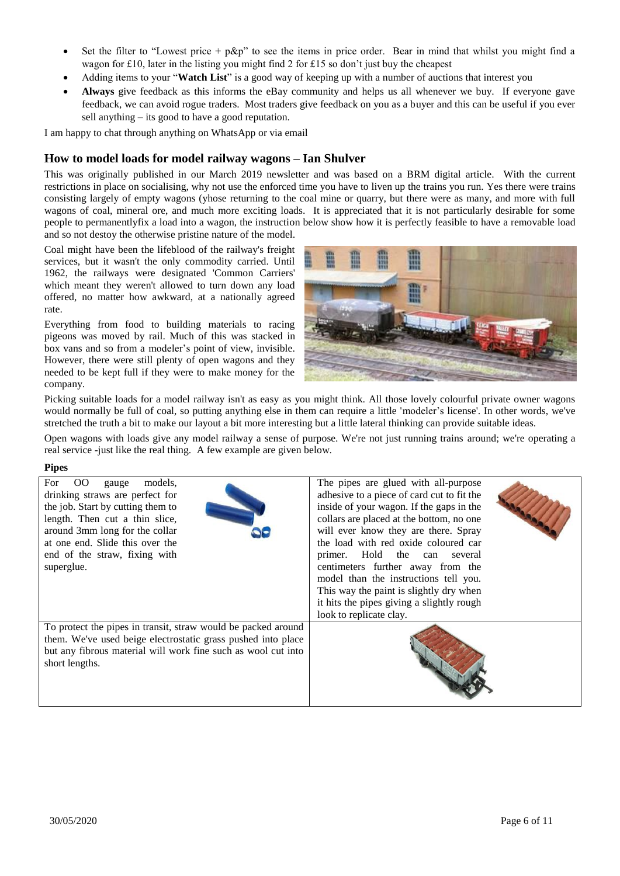- Set the filter to "Lowest price +  $p\&p$ " to see the items in price order. Bear in mind that whilst you might find a wagon for £10, later in the listing you might find 2 for £15 so don't just buy the cheapest
- Adding items to your "**Watch List**" is a good way of keeping up with a number of auctions that interest you
- **Always** give feedback as this informs the eBay community and helps us all whenever we buy. If everyone gave feedback, we can avoid rogue traders. Most traders give feedback on you as a buyer and this can be useful if you ever sell anything – its good to have a good reputation.

I am happy to chat through anything on WhatsApp or via email

# **How to model loads for model railway wagons – Ian Shulver**

This was originally published in our March 2019 newsletter and was based on a BRM digital article. With the current restrictions in place on socialising, why not use the enforced time you have to liven up the trains you run. Yes there were trains consisting largely of empty wagons (yhose returning to the coal mine or quarry, but there were as many, and more with full wagons of coal, mineral ore, and much more exciting loads. It is appreciated that it is not particularly desirable for some people to permanentlyfix a load into a wagon, the instruction below show how it is perfectly feasible to have a removable load and so not destoy the otherwise pristine nature of the model.

Coal might have been the lifeblood of the railway's freight services, but it wasn't the only commodity carried. Until 1962, the railways were designated 'Common Carriers' which meant they weren't allowed to turn down any load offered, no matter how awkward, at a nationally agreed rate.

Everything from food to building materials to racing pigeons was moved by rail. Much of this was stacked in box vans and so from a modeler's point of view, invisible. However, there were still plenty of open wagons and they needed to be kept full if they were to make money for the company.



Picking suitable loads for a model railway isn't as easy as you might think. All those lovely colourful private owner wagons would normally be full of coal, so putting anything else in them can require a little 'modeler's license'. In other words, we've stretched the truth a bit to make our layout a bit more interesting but a little lateral thinking can provide suitable ideas.

Open wagons with loads give any model railway a sense of purpose. We're not just running trains around; we're operating a real service -just like the real thing. A few example are given below.

#### **Pipes**

| $_{\rm OO}$<br>For<br>models.<br>gauge<br>drinking straws are perfect for<br>the job. Start by cutting them to<br>length. Then cut a thin slice,<br>around 3mm long for the collar<br>at one end. Slide this over the<br>end of the straw, fixing with<br>superglue. | The pipes are glued with all-purpose<br>adhesive to a piece of card cut to fit the<br>inside of your wagon. If the gaps in the<br>collars are placed at the bottom, no one<br>will ever know they are there. Spray<br>the load with red oxide coloured car<br>primer. Hold the can several<br>centimeters further away from the<br>model than the instructions tell you.<br>This way the paint is slightly dry when<br>it hits the pipes giving a slightly rough<br>look to replicate clay. |
|----------------------------------------------------------------------------------------------------------------------------------------------------------------------------------------------------------------------------------------------------------------------|---------------------------------------------------------------------------------------------------------------------------------------------------------------------------------------------------------------------------------------------------------------------------------------------------------------------------------------------------------------------------------------------------------------------------------------------------------------------------------------------|
| To protect the pipes in transit, straw would be packed around<br>them. We've used beige electrostatic grass pushed into place<br>but any fibrous material will work fine such as wool cut into<br>short lengths.                                                     |                                                                                                                                                                                                                                                                                                                                                                                                                                                                                             |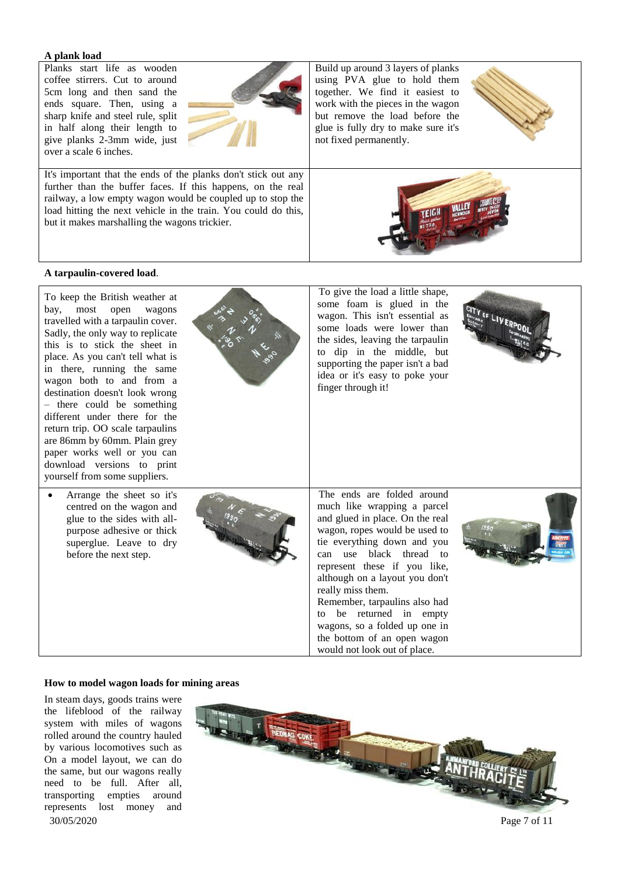#### **A plank load**

Planks start life as wooden coffee stirrers. Cut to around 5cm long and then sand the ends square. Then, using a sharp knife and steel rule, split in half along their length to give planks 2-3mm wide, just over a scale 6 inches.



It's important that the ends of the planks don't stick out any further than the buffer faces. If this happens, on the real railway, a low empty wagon would be coupled up to stop the load hitting the next vehicle in the train. You could do this, but it makes marshalling the wagons trickier.

Build up around 3 layers of planks using PVA glue to hold them together. We find it easiest to work with the pieces in the wagon but remove the load before the glue is fully dry to make sure it's not fixed permanently.





#### **A tarpaulin-covered load**.



#### **How to model wagon loads for mining areas**

In steam days, goods trains were the lifeblood of the railway system with miles of wagons rolled around the country hauled by various locomotives such as On a model layout, we can do the same, but our wagons really need to be full. After all, transporting empties around represents lost money and

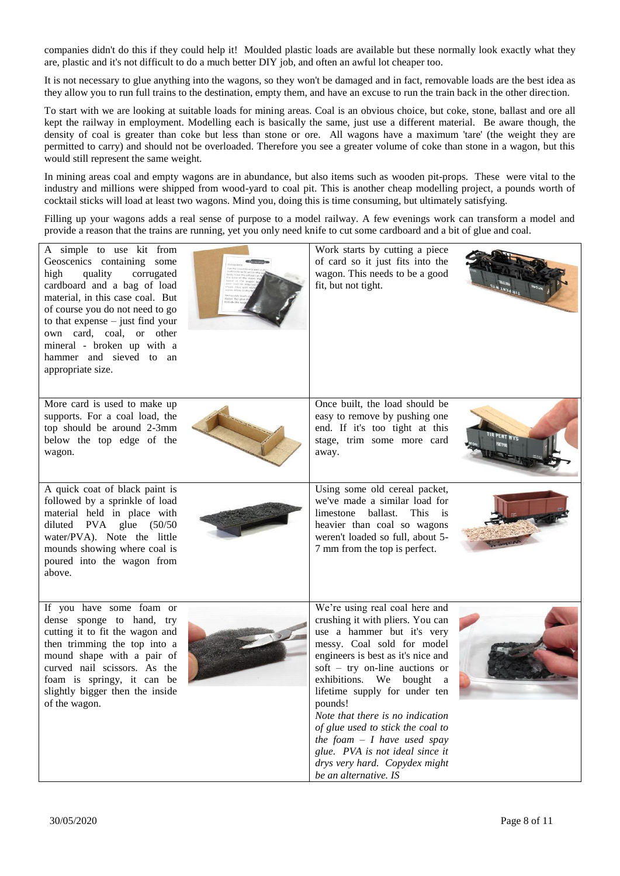companies didn't do this if they could help it! Moulded plastic loads are available but these normally look exactly what they are, plastic and it's not difficult to do a much better DIY job, and often an awful lot cheaper too.

It is not necessary to glue anything into the wagons, so they won't be damaged and in fact, removable loads are the best idea as they allow you to run full trains to the destination, empty them, and have an excuse to run the train back in the other direction.

To start with we are looking at suitable loads for mining areas. Coal is an obvious choice, but coke, stone, ballast and ore all kept the railway in employment. Modelling each is basically the same, just use a different material. Be aware though, the density of coal is greater than coke but less than stone or ore. All wagons have a maximum 'tare' (the weight they are permitted to carry) and should not be overloaded. Therefore you see a greater volume of coke than stone in a wagon, but this would still represent the same weight.

In mining areas coal and empty wagons are in abundance, but also items such as wooden pit-props. These were vital to the industry and millions were shipped from wood-yard to coal pit. This is another cheap modelling project, a pounds worth of cocktail sticks will load at least two wagons. Mind you, doing this is time consuming, but ultimately satisfying.

Filling up your wagons adds a real sense of purpose to a model railway. A few evenings work can transform a model and provide a reason that the trains are running, yet you only need knife to cut some cardboard and a bit of glue and coal.

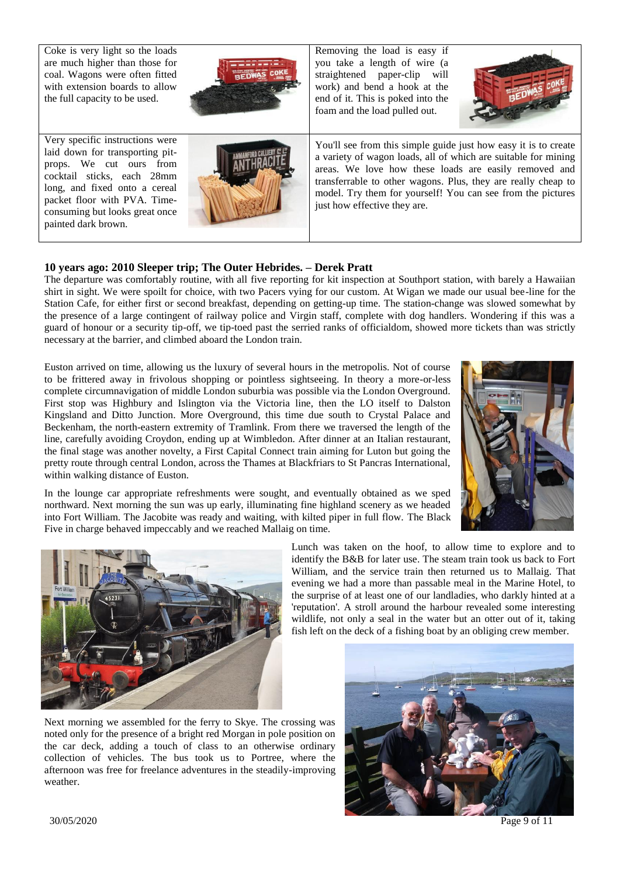Coke is very light so the loads are much higher than those for coal. Wagons were often fitted with extension boards to allow the full capacity to be used.

Very specific instructions were laid down for transporting pitprops. We cut ours from cocktail sticks, each 28mm long, and fixed onto a cereal packet floor with PVA. Timeconsuming but looks great once painted dark brown.



Removing the load is easy if you take a length of wire (a straightened paper-clip will work) and bend a hook at the end of it. This is poked into the foam and the load pulled out.



You'll see from this simple guide just how easy it is to create a variety of wagon loads, all of which are suitable for mining areas. We love how these loads are easily removed and transferrable to other wagons. Plus, they are really cheap to model. Try them for yourself! You can see from the pictures just how effective they are.

# **10 years ago: 2010 Sleeper trip; The Outer Hebrides. – Derek Pratt**

The departure was comfortably routine, with all five reporting for kit inspection at Southport station, with barely a Hawaiian shirt in sight. We were spoilt for choice, with two Pacers vying for our custom. At Wigan we made our usual bee-line for the Station Cafe, for either first or second breakfast, depending on getting-up time. The station-change was slowed somewhat by the presence of a large contingent of railway police and Virgin staff, complete with dog handlers. Wondering if this was a guard of honour or a security tip-off, we tip-toed past the serried ranks of officialdom, showed more tickets than was strictly necessary at the barrier, and climbed aboard the London train.

Euston arrived on time, allowing us the luxury of several hours in the metropolis. Not of course to be frittered away in frivolous shopping or pointless sightseeing. In theory a more-or-less complete circumnavigation of middle London suburbia was possible via the London Overground. First stop was Highbury and Islington via the Victoria line, then the LO itself to Dalston Kingsland and Ditto Junction. More Overground, this time due south to Crystal Palace and Beckenham, the north-eastern extremity of Tramlink. From there we traversed the length of the line, carefully avoiding Croydon, ending up at Wimbledon. After dinner at an Italian restaurant, the final stage was another novelty, a First Capital Connect train aiming for Luton but going the pretty route through central London, across the Thames at Blackfriars to St Pancras International, within walking distance of Euston.



In the lounge car appropriate refreshments were sought, and eventually obtained as we sped northward. Next morning the sun was up early, illuminating fine highland scenery as we headed into Fort William. The Jacobite was ready and waiting, with kilted piper in full flow. The Black Five in charge behaved impeccably and we reached Mallaig on time.



Lunch was taken on the hoof, to allow time to explore and to identify the B&B for later use. The steam train took us back to Fort William, and the service train then returned us to Mallaig. That evening we had a more than passable meal in the Marine Hotel, to the surprise of at least one of our landladies, who darkly hinted at a 'reputation'. A stroll around the harbour revealed some interesting wildlife, not only a seal in the water but an otter out of it, taking fish left on the deck of a fishing boat by an obliging crew member.

Next morning we assembled for the ferry to Skye. The crossing was noted only for the presence of a bright red Morgan in pole position on the car deck, adding a touch of class to an otherwise ordinary collection of vehicles. The bus took us to Portree, where the afternoon was free for freelance adventures in the steadily-improving weather.



30/05/2020 Page 9 of 11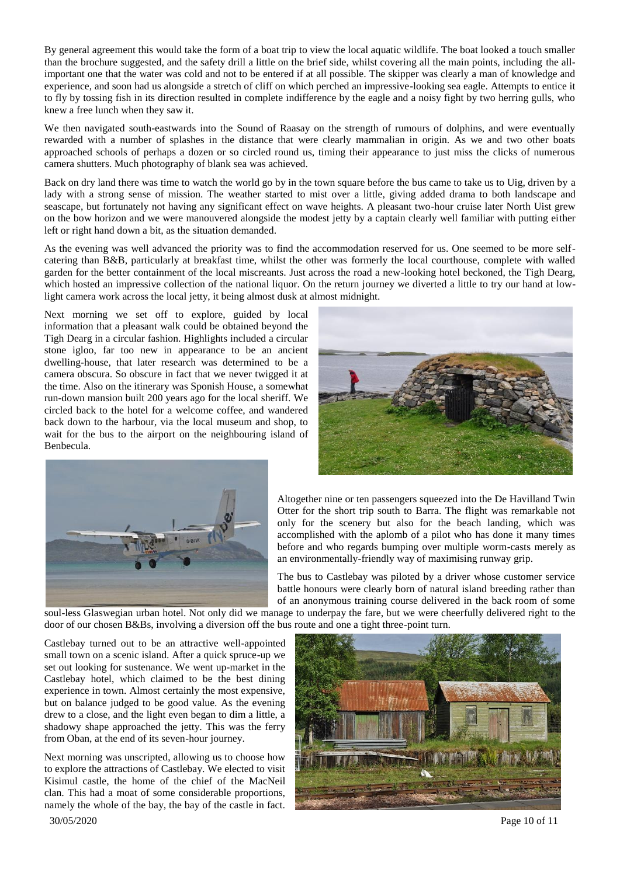By general agreement this would take the form of a boat trip to view the local aquatic wildlife. The boat looked a touch smaller than the brochure suggested, and the safety drill a little on the brief side, whilst covering all the main points, including the allimportant one that the water was cold and not to be entered if at all possible. The skipper was clearly a man of knowledge and experience, and soon had us alongside a stretch of cliff on which perched an impressive-looking sea eagle. Attempts to entice it to fly by tossing fish in its direction resulted in complete indifference by the eagle and a noisy fight by two herring gulls, who knew a free lunch when they saw it.

We then navigated south-eastwards into the Sound of Raasay on the strength of rumours of dolphins, and were eventually rewarded with a number of splashes in the distance that were clearly mammalian in origin. As we and two other boats approached schools of perhaps a dozen or so circled round us, timing their appearance to just miss the clicks of numerous camera shutters. Much photography of blank sea was achieved.

Back on dry land there was time to watch the world go by in the town square before the bus came to take us to Uig, driven by a lady with a strong sense of mission. The weather started to mist over a little, giving added drama to both landscape and seascape, but fortunately not having any significant effect on wave heights. A pleasant two-hour cruise later North Uist grew on the bow horizon and we were manouvered alongside the modest jetty by a captain clearly well familiar with putting either left or right hand down a bit, as the situation demanded.

As the evening was well advanced the priority was to find the accommodation reserved for us. One seemed to be more selfcatering than B&B, particularly at breakfast time, whilst the other was formerly the local courthouse, complete with walled garden for the better containment of the local miscreants. Just across the road a new-looking hotel beckoned, the Tigh Dearg, which hosted an impressive collection of the national liquor. On the return journey we diverted a little to try our hand at lowlight camera work across the local jetty, it being almost dusk at almost midnight.

Next morning we set off to explore, guided by local information that a pleasant walk could be obtained beyond the Tigh Dearg in a circular fashion. Highlights included a circular stone igloo, far too new in appearance to be an ancient dwelling-house, that later research was determined to be a camera obscura. So obscure in fact that we never twigged it at the time. Also on the itinerary was Sponish House, a somewhat run-down mansion built 200 years ago for the local sheriff. We circled back to the hotel for a welcome coffee, and wandered back down to the harbour, via the local museum and shop, to wait for the bus to the airport on the neighbouring island of Benbecula.





Altogether nine or ten passengers squeezed into the De Havilland Twin Otter for the short trip south to Barra. The flight was remarkable not only for the scenery but also for the beach landing, which was accomplished with the aplomb of a pilot who has done it many times before and who regards bumping over multiple worm-casts merely as an environmentally-friendly way of maximising runway grip.

The bus to Castlebay was piloted by a driver whose customer service battle honours were clearly born of natural island breeding rather than of an anonymous training course delivered in the back room of some

soul-less Glaswegian urban hotel. Not only did we manage to underpay the fare, but we were cheerfully delivered right to the door of our chosen B&Bs, involving a diversion off the bus route and one a tight three-point turn.

Castlebay turned out to be an attractive well-appointed small town on a scenic island. After a quick spruce-up we set out looking for sustenance. We went up-market in the Castlebay hotel, which claimed to be the best dining experience in town. Almost certainly the most expensive, but on balance judged to be good value. As the evening drew to a close, and the light even began to dim a little, a shadowy shape approached the jetty. This was the ferry from Oban, at the end of its seven-hour journey.

 30/05/2020 Page 10 of 11 Next morning was unscripted, allowing us to choose how to explore the attractions of Castlebay. We elected to visit Kisimul castle, the home of the chief of the MacNeil clan. This had a moat of some considerable proportions, namely the whole of the bay, the bay of the castle in fact.